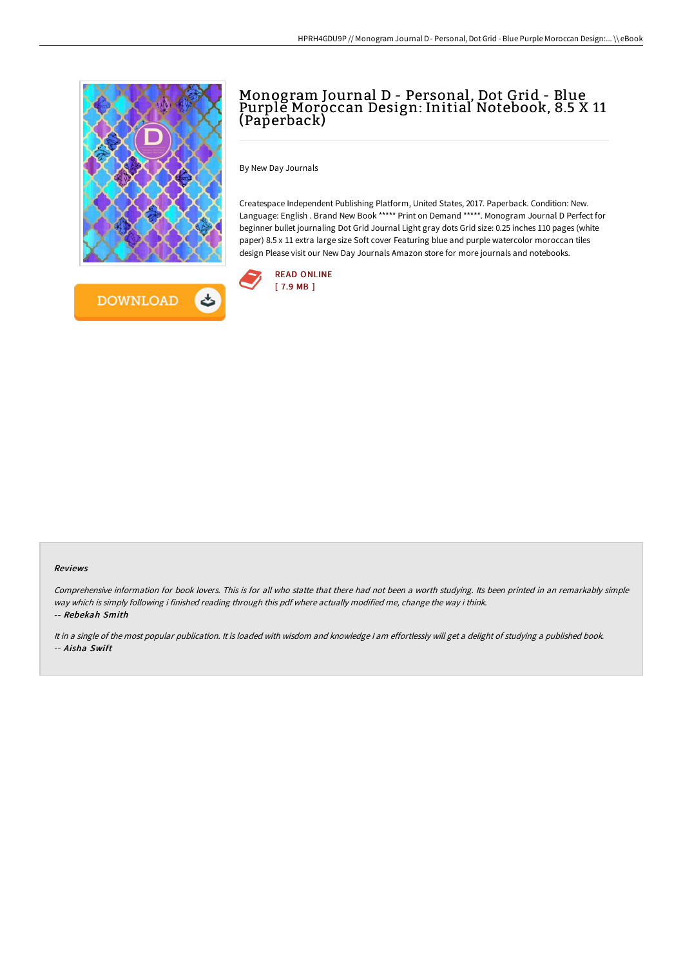

# Monogram Journal D - Personal, Dot Grid - Blue Purple Moroccan Design: Initial Notebook, 8.5 X 11 (Paperback)

By New Day Journals

Createspace Independent Publishing Platform, United States, 2017. Paperback. Condition: New. Language: English . Brand New Book \*\*\*\*\* Print on Demand \*\*\*\*\*. Monogram Journal D Perfect for beginner bullet journaling Dot Grid Journal Light gray dots Grid size: 0.25 inches 110 pages (white paper) 8.5 x 11 extra large size Soft cover Featuring blue and purple watercolor moroccan tiles design Please visit our New Day Journals Amazon store for more journals and notebooks.



#### Reviews

Comprehensive information for book lovers. This is for all who statte that there had not been <sup>a</sup> worth studying. Its been printed in an remarkably simple way which is simply following i finished reading through this pdf where actually modified me, change the way i think. -- Rebekah Smith

It in <sup>a</sup> single of the most popular publication. It is loaded with wisdom and knowledge <sup>I</sup> am effortlessly will get <sup>a</sup> delight of studying <sup>a</sup> published book. -- Aisha Swift